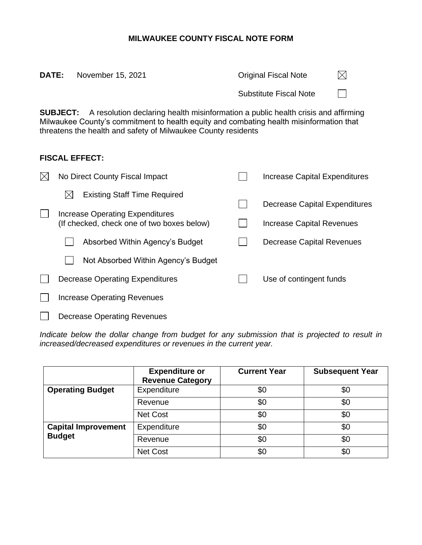## **MILWAUKEE COUNTY FISCAL NOTE FORM**

| <b>DATE:</b>                                                                                                                                                                                                                                                     | November 15, 2021                                                             |  | <b>Original Fiscal Note</b>      |  |  |  |  |  |
|------------------------------------------------------------------------------------------------------------------------------------------------------------------------------------------------------------------------------------------------------------------|-------------------------------------------------------------------------------|--|----------------------------------|--|--|--|--|--|
|                                                                                                                                                                                                                                                                  |                                                                               |  | <b>Substitute Fiscal Note</b>    |  |  |  |  |  |
| A resolution declaring health misinformation a public health crisis and affirming<br><b>SUBJECT:</b><br>Milwaukee County's commitment to health equity and combating health misinformation that<br>threatens the health and safety of Milwaukee County residents |                                                                               |  |                                  |  |  |  |  |  |
|                                                                                                                                                                                                                                                                  | <b>FISCAL EFFECT:</b>                                                         |  |                                  |  |  |  |  |  |
|                                                                                                                                                                                                                                                                  | No Direct County Fiscal Impact                                                |  | Increase Capital Expenditures    |  |  |  |  |  |
|                                                                                                                                                                                                                                                                  | <b>Existing Staff Time Required</b>                                           |  | Decrease Capital Expenditure     |  |  |  |  |  |
|                                                                                                                                                                                                                                                                  | Increase Operating Expenditures<br>(If checked, check one of two boxes below) |  | <b>Increase Capital Revenues</b> |  |  |  |  |  |

| No Direct County Fiscal Impact             |  | Increase Capital Expenditures |
|--------------------------------------------|--|-------------------------------|
| <b>Existing Staff Time Required</b><br>IХ  |  | Decrease Capital Expenditures |
| Increase Operating Expenditures            |  |                               |
| (If checked, check one of two boxes below) |  | Increase Capital Revenues     |
| Absorbed Within Agency's Budget            |  | Decrease Capital Revenues     |
| Not Absorbed Within Agency's Budget        |  |                               |
| Decrease Operating Expenditures            |  | Use of contingent funds       |
| <b>Increase Operating Revenues</b>         |  |                               |
| <b>Decrease Operating Revenues</b>         |  |                               |

Indicate below the dollar change from budget for any submission that is projected to result in *increased/decreased expenditures or revenues in the current year.*

|                            | <b>Expenditure or</b><br><b>Revenue Category</b> | <b>Current Year</b> | <b>Subsequent Year</b> |
|----------------------------|--------------------------------------------------|---------------------|------------------------|
| <b>Operating Budget</b>    | Expenditure                                      | \$0                 | \$0                    |
|                            | Revenue                                          | \$0                 | \$0                    |
|                            | <b>Net Cost</b>                                  | \$0                 | \$0                    |
| <b>Capital Improvement</b> | Expenditure                                      | \$0                 | \$0                    |
| <b>Budget</b>              | Revenue                                          | \$0                 | \$0                    |
|                            | Net Cost                                         | \$0                 | \$0                    |